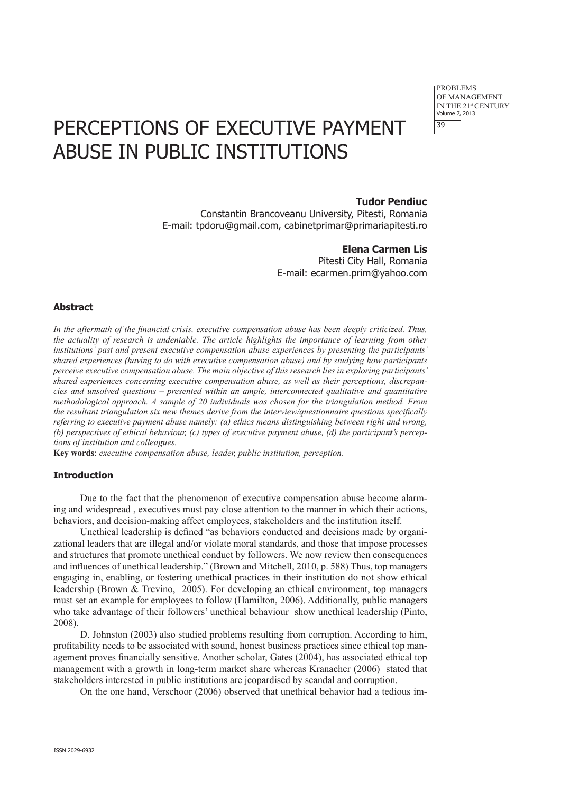problems of Management IN THE 21st CENTURY Volume 7, 2013 39

# PERCEPTIONS OF EXECUTIVE PAYMENT Abuse in public institutions

# **Tudor Pendiuc**

Constantin Brancoveanu University, Pitesti, Romania E-mail: tpdoru@gmail.com, cabinetprimar@primariapitesti.ro

# **Elena Carmen Lis**

Pitesti City Hall, Romania E-mail: ecarmen.prim@yahoo.com

## **Abstract**

*In the aftermath of the financial crisis, executive compensation abuse has been deeply criticized. Thus, the actuality of research is undeniable. The article highlights the importance of learning from other institutions' past and present executive compensation abuse experiences by presenting the participants' shared experiences (having to do with executive compensation abuse) and by studying how participants perceive executive compensation abuse. The main objective of this research lies in exploring participants' shared experiences concerning executive compensation abuse, as well as their perceptions, discrepancies and unsolved questions – presented within an ample, interconnected qualitative and quantitative methodological approach. A sample of 20 individuals was chosen for the triangulation method. From the resultant triangulation six new themes derive from the interview/questionnaire questions specifically referring to executive payment abuse namely: (a) ethics means distinguishing between right and wrong, (b) perspectives of ethical behaviour, (c) types of executive payment abuse, (d) the participant's perceptions of institution and colleagues.*

**Key words**: *executive compensation abuse, leader, public institution, perception*.

#### **Introduction**

Due to the fact that the phenomenon of executive compensation abuse become alarming and widespread , executives must pay close attention to the manner in which their actions, behaviors, and decision-making affect employees, stakeholders and the institution itself.

Unethical leadership is defined "as behaviors conducted and decisions made by organizational leaders that are illegal and/or violate moral standards, and those that impose processes and structures that promote unethical conduct by followers. We now review then consequences and influences of unethical leadership." (Brown and Mitchell, 2010, p. 588) Thus, top managers engaging in, enabling, or fostering unethical practices in their institution do not show ethical leadership (Brown & Trevino, 2005). For developing an ethical environment, top managers must set an example for employees to follow (Hamilton, 2006). Additionally, public managers who take advantage of their followers' unethical behaviour show unethical leadership (Pinto, 2008).

D. Johnston (2003) also studied problems resulting from corruption. According to him, profitability needs to be associated with sound, honest business practices since ethical top management proves financially sensitive. Another scholar, Gates (2004), has associated ethical top management with a growth in long-term market share whereas Kranacher (2006) stated that stakeholders interested in public institutions are jeopardised by scandal and corruption.

On the one hand, Verschoor (2006) observed that unethical behavior had a tedious im-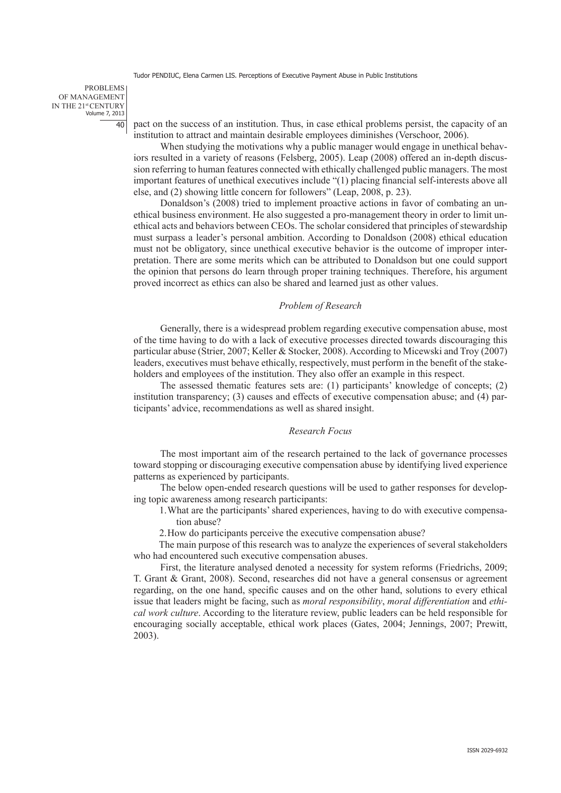problems of Management IN THE 21st CENTURY Volume 7, 2013 40

pact on the success of an institution. Thus, in case ethical problems persist, the capacity of an institution to attract and maintain desirable employees diminishes (Verschoor, 2006).

When studying the motivations why a public manager would engage in unethical behaviors resulted in a variety of reasons (Felsberg, 2005). Leap (2008) offered an in-depth discussion referring to human features connected with ethically challenged public managers. The most important features of unethical executives include "(1) placing financial self-interests above all else, and (2) showing little concern for followers" (Leap, 2008, p. 23).

Donaldson's (2008) tried to implement proactive actions in favor of combating an unethical business environment. He also suggested a pro-management theory in order to limit unethical acts and behaviors between CEOs. The scholar considered that principles of stewardship must surpass a leader's personal ambition. According to Donaldson (2008) ethical education must not be obligatory, since unethical executive behavior is the outcome of improper interpretation. There are some merits which can be attributed to Donaldson but one could support the opinion that persons do learn through proper training techniques. Therefore, his argument proved incorrect as ethics can also be shared and learned just as other values.

## *Problem of Research*

Generally, there is a widespread problem regarding executive compensation abuse, most of the time having to do with a lack of executive processes directed towards discouraging this particular abuse (Strier, 2007; Keller & Stocker, 2008). According to Micewski and Troy (2007) leaders, executives must behave ethically, respectively, must perform in the benefit of the stakeholders and employees of the institution. They also offer an example in this respect.

The assessed thematic features sets are: (1) participants' knowledge of concepts; (2) institution transparency; (3) causes and effects of executive compensation abuse; and (4) participants' advice, recommendations as well as shared insight.

## *Research Focus*

The most important aim of the research pertained to the lack of governance processes toward stopping or discouraging executive compensation abuse by identifying lived experience patterns as experienced by participants.

The below open-ended research questions will be used to gather responses for developing topic awareness among research participants:

- 1.What are the participants' shared experiences, having to do with executive compensation abuse?
- 2.How do participants perceive the executive compensation abuse?

The main purpose of this research was to analyze the experiences of several stakeholders who had encountered such executive compensation abuses.

First, the literature analysed denoted a necessity for system reforms (Friedrichs, 2009; T. Grant & Grant, 2008). Second, researches did not have a general consensus or agreement regarding, on the one hand, specific causes and on the other hand, solutions to every ethical issue that leaders might be facing, such as *moral responsibility*, *moral differentiation* and *ethical work culture*. According to the literature review, public leaders can be held responsible for encouraging socially acceptable, ethical work places (Gates, 2004; Jennings, 2007; Prewitt, 2003).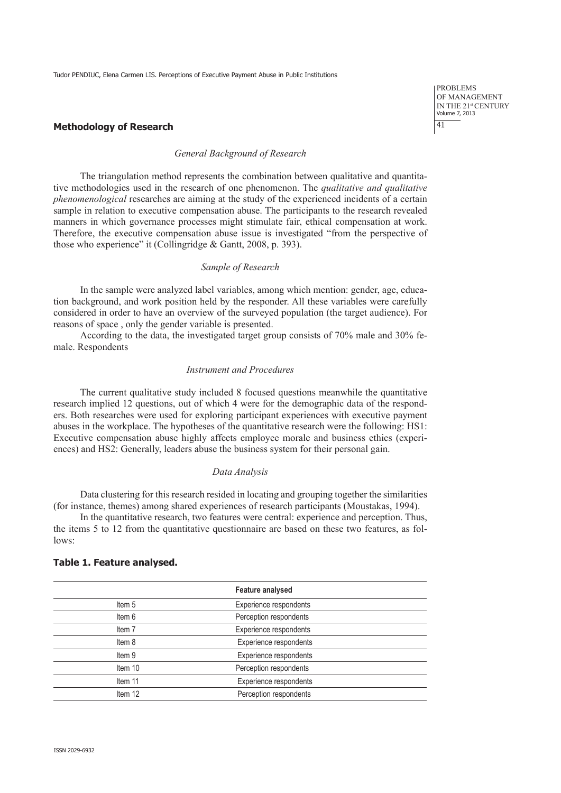## **Methodology of Research**

#### *General Background of Research*

The triangulation method represents the combination between qualitative and quantitative methodologies used in the research of one phenomenon. The *qualitative and qualitative phenomenological* researches are aiming at the study of the experienced incidents of a certain sample in relation to executive compensation abuse. The participants to the research revealed manners in which governance processes might stimulate fair, ethical compensation at work. Therefore, the executive compensation abuse issue is investigated "from the perspective of those who experience" it (Collingridge & Gantt, 2008, p. 393).

## *Sample of Research*

In the sample were analyzed label variables, among which mention: gender, age, education background, and work position held by the responder. All these variables were carefully considered in order to have an overview of the surveyed population (the target audience). For reasons of space , only the gender variable is presented.

According to the data, the investigated target group consists of 70% male and 30% female. Respondents

## *Instrument and Procedures*

The current qualitative study included 8 focused questions meanwhile the quantitative research implied 12 questions, out of which 4 were for the demographic data of the responders. Both researches were used for exploring participant experiences with executive payment abuses in the workplace. The hypotheses of the quantitative research were the following: HS1: Executive compensation abuse highly affects employee morale and business ethics (experiences) and HS2: Generally, leaders abuse the business system for their personal gain.

#### *Data Analysis*

Data clustering for this research resided in locating and grouping together the similarities (for instance, themes) among shared experiences of research participants (Moustakas, 1994).

In the quantitative research, two features were central: experience and perception. Thus, the items 5 to 12 from the quantitative questionnaire are based on these two features, as follows:

# **Feature analysed** Item 5 Experience respondents Item 6 **Perception respondents** Item 7 Experience respondents Item 8 Experience respondents Item 9 **Experience respondents** Item 10 Perception respondents Item 11 **Experience respondents** Item 12 Perception respondents

#### **Table 1. Feature analysed.**

problems of Management IN THE 21st CENTURY Volume 7, 2013 41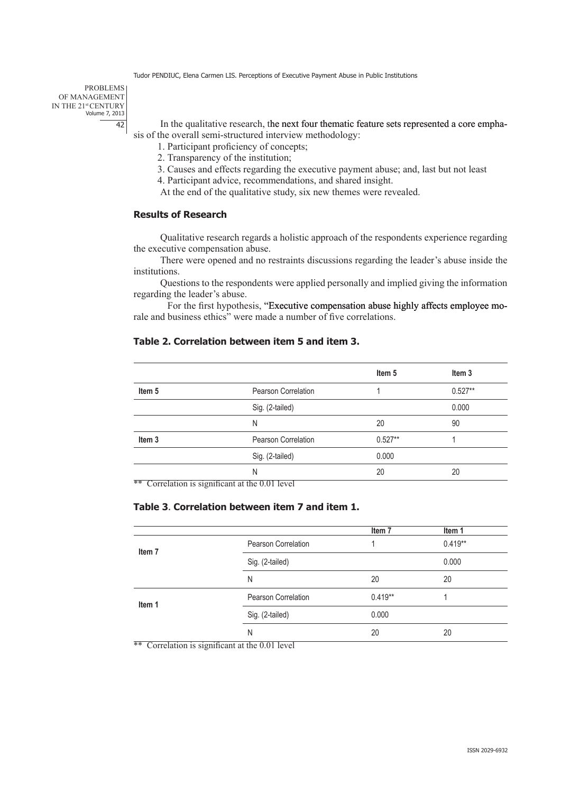problems OF MANAGEMENT IN THE 21st CENTURY Volume 7, 2013 42

In the qualitative research, the next four thematic feature sets represented a core emphasis of the overall semi-structured interview methodology:

1. Participant proficiency of concepts;

2. Transparency of the institution;

3. Causes and effects regarding the executive payment abuse; and, last but not least

4. Participant advice, recommendations, and shared insight.

At the end of the qualitative study, six new themes were revealed.

# **Results of Research**

Qualitative research regards a holistic approach of the respondents experience regarding the executive compensation abuse.

There were opened and no restraints discussions regarding the leader's abuse inside the institutions.

Questions to the respondents were applied personally and implied giving the information regarding the leader's abuse.

For the first hypothesis, "Executive compensation abuse highly affects employee morale and business ethics" were made a number of five correlations.

## **Table 2. Correlation between item 5 and item 3.**

|                   |                                       | Item <sub>5</sub> | Item 3    |
|-------------------|---------------------------------------|-------------------|-----------|
| Item <sub>5</sub> | <b>Pearson Correlation</b>            |                   | $0.527**$ |
|                   | Sig. (2-tailed)                       |                   | 0.000     |
|                   | N                                     | 20                | 90        |
| Item <sub>3</sub> | <b>Pearson Correlation</b>            | $0.527**$         |           |
|                   | Sig. (2-tailed)                       | 0.000             |           |
| –<br>–            | N<br>$ -$<br>$\overline{\phantom{a}}$ | 20                | 20        |

\*\* Correlation is significant at the 0.01 level

# **Table 3**. **Correlation between item 7 and item 1.**

|                   |                            | Item <sub>7</sub> | Item 1    |
|-------------------|----------------------------|-------------------|-----------|
| Item <sub>7</sub> | <b>Pearson Correlation</b> |                   | $0.419**$ |
|                   | Sig. (2-tailed)            |                   | 0.000     |
|                   | N                          | 20                | 20        |
| Item 1            | <b>Pearson Correlation</b> | $0.419**$         |           |
|                   | Sig. (2-tailed)            | 0.000             |           |
|                   | N                          | 20                | 20        |

\*\* Correlation is significant at the 0.01 level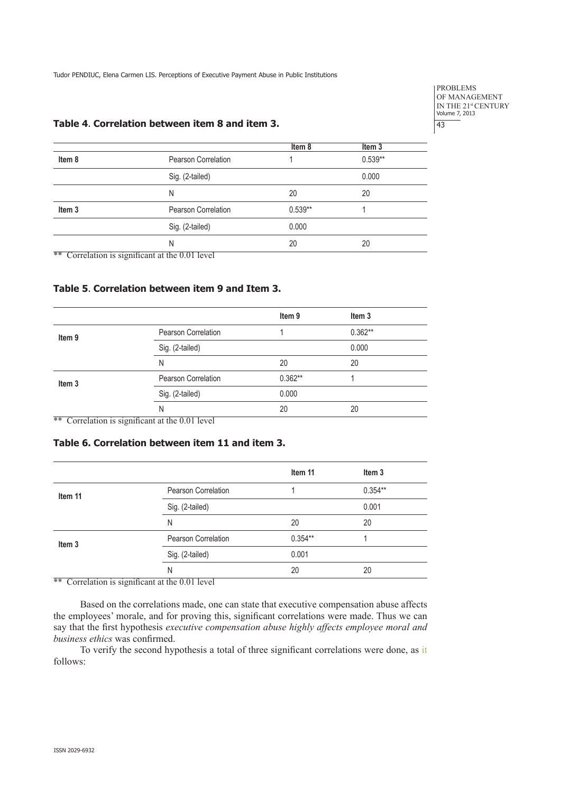problems of Management IN THE 21<sup>st</sup> CENTURY<br>Volume 7, 2013 43

# **Table 4**. **Correlation between item 8 and item 3.**

|                   |                                                 | Item 8    | Item <sub>3</sub> |  |
|-------------------|-------------------------------------------------|-----------|-------------------|--|
| Item 8            | Pearson Correlation                             |           | $0.539**$         |  |
|                   | Sig. (2-tailed)                                 |           | 0.000             |  |
|                   | N                                               | 20        | 20                |  |
| Item <sub>3</sub> | Pearson Correlation                             | $0.539**$ |                   |  |
|                   | Sig. (2-tailed)                                 | 0.000     |                   |  |
|                   | N                                               | 20        | 20                |  |
|                   | ** Correlation is significant at the 0.01 level |           |                   |  |

## **Table 5**. **Correlation between item 9 and Item 3.**

|                   |                            | Item 9    | Item <sub>3</sub> |
|-------------------|----------------------------|-----------|-------------------|
| Item <sub>9</sub> | Pearson Correlation        |           | $0.362**$         |
|                   | Sig. (2-tailed)            |           | 0.000             |
|                   | N                          | 20        | 20                |
| Item <sub>3</sub> | <b>Pearson Correlation</b> | $0.362**$ |                   |
|                   | Sig. (2-tailed)            | 0.000     |                   |
|                   | Ν                          | 20        | 20                |

\*\* Correlation is significant at the 0.01 level

# **Table 6. Correlation between item 11 and item 3.**

|                   |                            | Item 11   | Item 3    |
|-------------------|----------------------------|-----------|-----------|
| Item 11           | Pearson Correlation        |           | $0.354**$ |
|                   | Sig. (2-tailed)            |           | 0.001     |
|                   | N                          | 20        | 20        |
| Item <sub>3</sub> | <b>Pearson Correlation</b> | $0.354**$ |           |
|                   | Sig. (2-tailed)            | 0.001     |           |
|                   | N                          | 20        | 20        |

\*\* Correlation is significant at the 0.01 level

Based on the correlations made, one can state that executive compensation abuse affects the employees' morale, and for proving this, significant correlations were made. Thus we can say that the first hypothesis *executive compensation abuse highly affects employee moral and business ethics* was confirmed.

To verify the second hypothesis a total of three significant correlations were done, as it follows: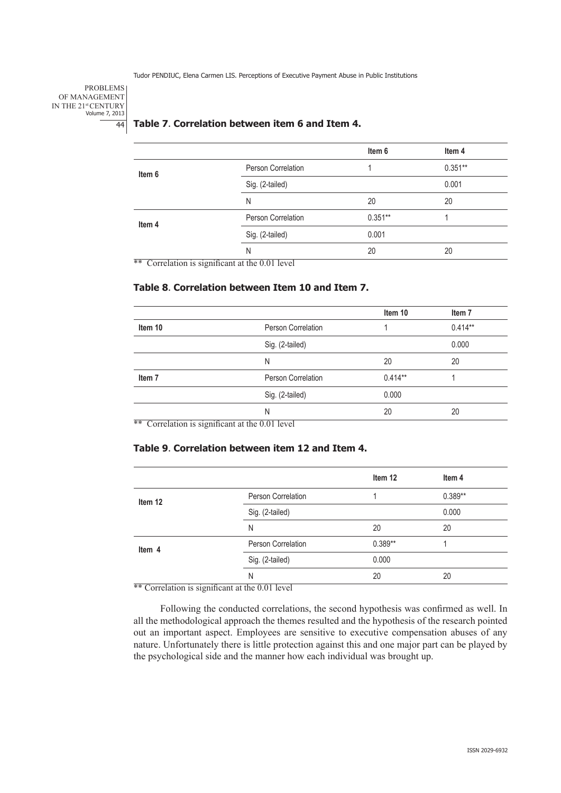problems of Management IN THE 21<sup>st</sup> CENTURY<br>Volume 7, 2013 44

# **Table 7**. **Correlation between item 6 and Item 4.**

|                                                   |                    | Item 6    | Item 4    |
|---------------------------------------------------|--------------------|-----------|-----------|
| Item 6                                            | Person Correlation |           | $0.351**$ |
|                                                   | Sig. (2-tailed)    |           | 0.001     |
|                                                   | N                  | 20        | 20        |
| Item 4                                            | Person Correlation | $0.351**$ |           |
|                                                   | Sig. (2-tailed)    | 0.001     |           |
| $**$ Correlation is significant at the 0.01 level | N                  | 20        | 20        |

\*\* Correlation is significant at the 0.01 level

# **Table 8**. **Correlation between Item 10 and Item 7.**

|                   |                                                   | Item 10   | Item <sub>7</sub> |
|-------------------|---------------------------------------------------|-----------|-------------------|
| Item 10           | Person Correlation                                |           | $0.414**$         |
|                   | Sig. (2-tailed)                                   |           | 0.000             |
|                   | N                                                 | 20        | 20                |
| Item <sub>7</sub> | Person Correlation                                | $0.414**$ |                   |
|                   | Sig. (2-tailed)                                   | 0.000     |                   |
|                   | N                                                 | 20        | 20                |
|                   | $**$ Correlation is significant at the 0.01 level |           |                   |

Correlation is significant at the 0.01 level

## **Table 9**. **Correlation between item 12 and Item 4.**

|                                                            |                      | Item 12   | Item 4    |
|------------------------------------------------------------|----------------------|-----------|-----------|
| Item 12                                                    | Person Correlation   |           | $0.389**$ |
|                                                            | Sig. (2-tailed)      |           | 0.000     |
|                                                            | N                    | 20        | 20        |
| Item 4                                                     | Person Correlation   | $0.389**$ |           |
|                                                            | Sig. (2-tailed)      | 0.000     |           |
| $\overline{\phantom{a}}$<br>$\overline{\phantom{a}}$<br>-- | N<br>-----<br>$\sim$ | 20        | 20        |

\*\* Correlation is significant at the 0.01 level

Following the conducted correlations, the second hypothesis was confirmed as well. In all the methodological approach the themes resulted and the hypothesis of the research pointed out an important aspect. Employees are sensitive to executive compensation abuses of any nature. Unfortunately there is little protection against this and one major part can be played by the psychological side and the manner how each individual was brought up.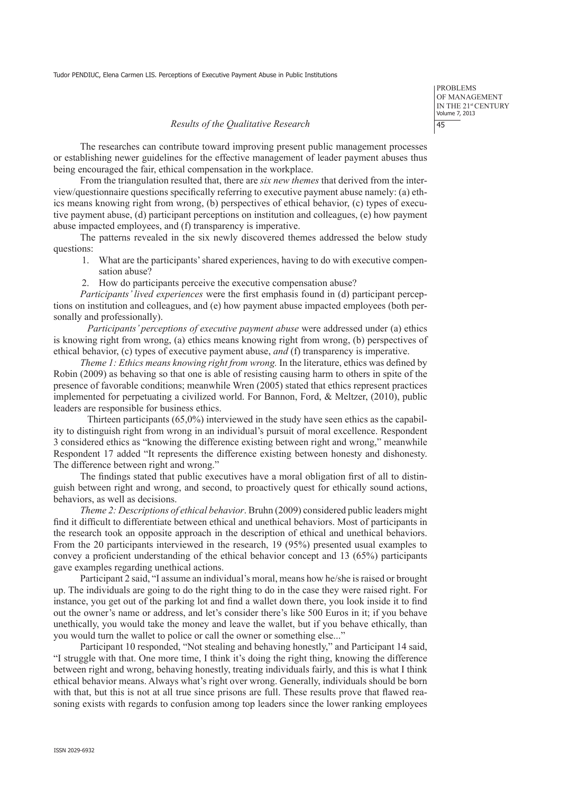problems of Management IN THE 21st CENTURY Volume 7, 2013 45

#### *Results of the Qualitative Research*

The researches can contribute toward improving present public management processes or establishing newer guidelines for the effective management of leader payment abuses thus being encouraged the fair, ethical compensation in the workplace.

From the triangulation resulted that, there are *six new themes* that derived from the interview/questionnaire questions specifically referring to executive payment abuse namely: (a) ethics means knowing right from wrong, (b) perspectives of ethical behavior, (c) types of executive payment abuse, (d) participant perceptions on institution and colleagues, (e) how payment abuse impacted employees, and (f) transparency is imperative.

The patterns revealed in the six newly discovered themes addressed the below study questions:

- 1. What are the participants' shared experiences, having to do with executive compensation abuse?
- 2. How do participants perceive the executive compensation abuse?

*Participants' lived experiences* were the first emphasis found in (d) participant perceptions on institution and colleagues, and (e) how payment abuse impacted employees (both personally and professionally).

*Participants' perceptions of executive payment abuse* were addressed under (a) ethics is knowing right from wrong, (a) ethics means knowing right from wrong, (b) perspectives of ethical behavior, (c) types of executive payment abuse, *and* (f) transparency is imperative.

*Theme 1: Ethics means knowing right from wrong.* In the literature, ethics was defined by Robin (2009) as behaving so that one is able of resisting causing harm to others in spite of the presence of favorable conditions; meanwhile Wren (2005) stated that ethics represent practices implemented for perpetuating a civilized world. For Bannon, Ford, & Meltzer, (2010), public leaders are responsible for business ethics.

 Thirteen participants (65,0%) interviewed in the study have seen ethics as the capability to distinguish right from wrong in an individual's pursuit of moral excellence. Respondent 3 considered ethics as "knowing the difference existing between right and wrong," meanwhile Respondent 17 added "It represents the difference existing between honesty and dishonesty. The difference between right and wrong."

The findings stated that public executives have a moral obligation first of all to distinguish between right and wrong, and second, to proactively quest for ethically sound actions, behaviors, as well as decisions.

*Theme 2: Descriptions of ethical behavior*. Bruhn (2009) considered public leaders might find it difficult to differentiate between ethical and unethical behaviors. Most of participants in the research took an opposite approach in the description of ethical and unethical behaviors. From the 20 participants interviewed in the research, 19 (95%) presented usual examples to convey a proficient understanding of the ethical behavior concept and 13 (65%) participants gave examples regarding unethical actions.

Participant 2 said, "I assume an individual's moral, means how he/she is raised or brought up. The individuals are going to do the right thing to do in the case they were raised right. For instance, you get out of the parking lot and find a wallet down there, you look inside it to find out the owner's name or address, and let's consider there's like 500 Euros in it; if you behave unethically, you would take the money and leave the wallet, but if you behave ethically, than you would turn the wallet to police or call the owner or something else..."

Participant 10 responded, "Not stealing and behaving honestly," and Participant 14 said, "I struggle with that. One more time, I think it's doing the right thing, knowing the difference between right and wrong, behaving honestly, treating individuals fairly, and this is what I think ethical behavior means. Always what's right over wrong. Generally, individuals should be born with that, but this is not at all true since prisons are full. These results prove that flawed reasoning exists with regards to confusion among top leaders since the lower ranking employees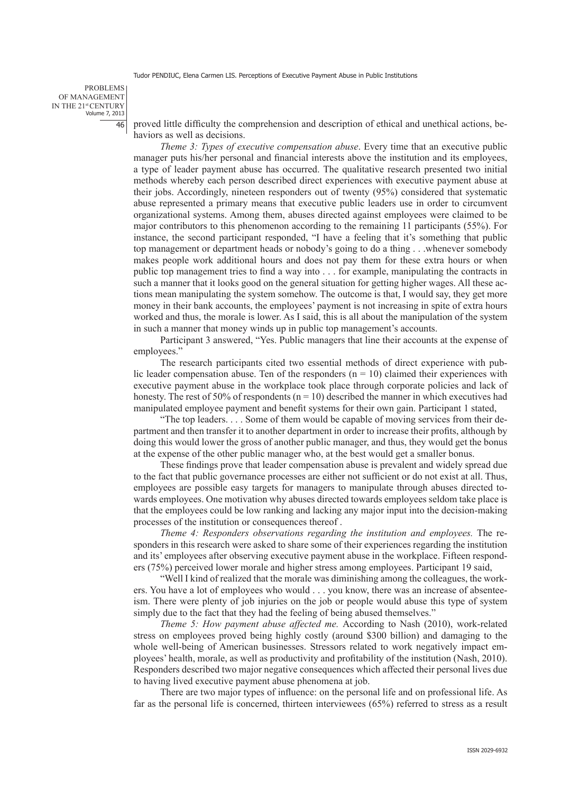problems of Management IN THE 21st CENTURY Volume 7, 2013 46

proved little difficulty the comprehension and description of ethical and unethical actions, behaviors as well as decisions.

*Theme 3: Types of executive compensation abuse*. Every time that an executive public manager puts his/her personal and financial interests above the institution and its employees, a type of leader payment abuse has occurred. The qualitative research presented two initial methods whereby each person described direct experiences with executive payment abuse at their jobs. Accordingly, nineteen responders out of twenty (95%) considered that systematic abuse represented a primary means that executive public leaders use in order to circumvent organizational systems. Among them, abuses directed against employees were claimed to be major contributors to this phenomenon according to the remaining 11 participants (55%). For instance, the second participant responded, "I have a feeling that it's something that public top management or department heads or nobody's going to do a thing . . .whenever somebody makes people work additional hours and does not pay them for these extra hours or when public top management tries to find a way into . . . for example, manipulating the contracts in such a manner that it looks good on the general situation for getting higher wages. All these actions mean manipulating the system somehow. The outcome is that, I would say, they get more money in their bank accounts, the employees' payment is not increasing in spite of extra hours worked and thus, the morale is lower. As I said, this is all about the manipulation of the system in such a manner that money winds up in public top management's accounts.

Participant 3 answered, "Yes. Public managers that line their accounts at the expense of employees."

The research participants cited two essential methods of direct experience with public leader compensation abuse. Ten of the responders  $(n = 10)$  claimed their experiences with executive payment abuse in the workplace took place through corporate policies and lack of honesty. The rest of 50% of respondents ( $n = 10$ ) described the manner in which executives had manipulated employee payment and benefit systems for their own gain. Participant 1 stated,

"The top leaders. . . . Some of them would be capable of moving services from their department and then transfer it to another department in order to increase their profits, although by doing this would lower the gross of another public manager, and thus, they would get the bonus at the expense of the other public manager who, at the best would get a smaller bonus.

These findings prove that leader compensation abuse is prevalent and widely spread due to the fact that public governance processes are either not sufficient or do not exist at all. Thus, employees are possible easy targets for managers to manipulate through abuses directed towards employees. One motivation why abuses directed towards employees seldom take place is that the employees could be low ranking and lacking any major input into the decision-making processes of the institution or consequences thereof .

*Theme 4: Responders observations regarding the institution and employees.* The responders in this research were asked to share some of their experiences regarding the institution and its' employees after observing executive payment abuse in the workplace. Fifteen responders (75%) perceived lower morale and higher stress among employees. Participant 19 said,

"Well I kind of realized that the morale was diminishing among the colleagues, the workers. You have a lot of employees who would . . . you know, there was an increase of absenteeism. There were plenty of job injuries on the job or people would abuse this type of system simply due to the fact that they had the feeling of being abused themselves."

*Theme 5: How payment abuse affected me.* According to Nash (2010), work-related stress on employees proved being highly costly (around \$300 billion) and damaging to the whole well-being of American businesses. Stressors related to work negatively impact employees' health, morale, as well as productivity and profitability of the institution (Nash, 2010). Responders described two major negative consequences which affected their personal lives due to having lived executive payment abuse phenomena at job.

There are two major types of influence: on the personal life and on professional life. As far as the personal life is concerned, thirteen interviewees (65%) referred to stress as a result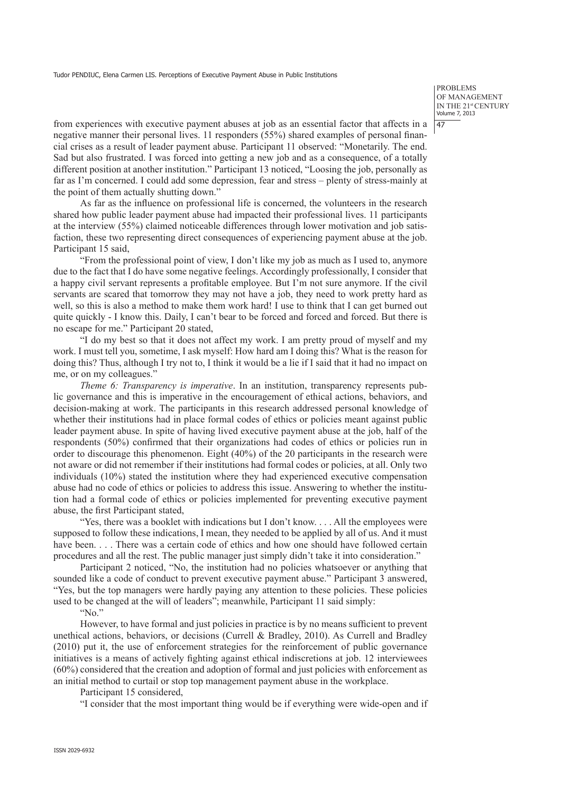problems of Management IN THE 21st CENTURY Volume 7, 2013  $|47$ 

from experiences with executive payment abuses at job as an essential factor that affects in a negative manner their personal lives. 11 responders (55%) shared examples of personal financial crises as a result of leader payment abuse. Participant 11 observed: "Monetarily. The end. Sad but also frustrated. I was forced into getting a new job and as a consequence, of a totally different position at another institution." Participant 13 noticed, "Loosing the job, personally as far as I'm concerned. I could add some depression, fear and stress – plenty of stress-mainly at the point of them actually shutting down."

As far as the influence on professional life is concerned, the volunteers in the research shared how public leader payment abuse had impacted their professional lives. 11 participants at the interview (55%) claimed noticeable differences through lower motivation and job satisfaction, these two representing direct consequences of experiencing payment abuse at the job. Participant 15 said,

"From the professional point of view, I don't like my job as much as I used to, anymore due to the fact that I do have some negative feelings. Accordingly professionally, I consider that a happy civil servant represents a profitable employee. But I'm not sure anymore. If the civil servants are scared that tomorrow they may not have a job, they need to work pretty hard as well, so this is also a method to make them work hard! I use to think that I can get burned out quite quickly - I know this. Daily, I can't bear to be forced and forced and forced. But there is no escape for me." Participant 20 stated,

"I do my best so that it does not affect my work. I am pretty proud of myself and my work. I must tell you, sometime, I ask myself: How hard am I doing this? What is the reason for doing this? Thus, although I try not to, I think it would be a lie if I said that it had no impact on me, or on my colleagues."

*Theme 6: Transparency is imperative*. In an institution, transparency represents public governance and this is imperative in the encouragement of ethical actions, behaviors, and decision-making at work. The participants in this research addressed personal knowledge of whether their institutions had in place formal codes of ethics or policies meant against public leader payment abuse. In spite of having lived executive payment abuse at the job, half of the respondents (50%) confirmed that their organizations had codes of ethics or policies run in order to discourage this phenomenon. Eight (40%) of the 20 participants in the research were not aware or did not remember if their institutions had formal codes or policies, at all. Only two individuals (10%) stated the institution where they had experienced executive compensation abuse had no code of ethics or policies to address this issue. Answering to whether the institution had a formal code of ethics or policies implemented for preventing executive payment abuse, the first Participant stated,

"Yes, there was a booklet with indications but I don't know. . . . All the employees were supposed to follow these indications, I mean, they needed to be applied by all of us. And it must have been. . . . There was a certain code of ethics and how one should have followed certain procedures and all the rest. The public manager just simply didn't take it into consideration."

Participant 2 noticed, "No, the institution had no policies whatsoever or anything that sounded like a code of conduct to prevent executive payment abuse." Participant 3 answered, "Yes, but the top managers were hardly paying any attention to these policies. These policies used to be changed at the will of leaders"; meanwhile, Participant 11 said simply:

"No."

However, to have formal and just policies in practice is by no means sufficient to prevent unethical actions, behaviors, or decisions (Currell & Bradley, 2010). As Currell and Bradley (2010) put it, the use of enforcement strategies for the reinforcement of public governance initiatives is a means of actively fighting against ethical indiscretions at job. 12 interviewees (60%) considered that the creation and adoption of formal and just policies with enforcement as an initial method to curtail or stop top management payment abuse in the workplace.

Participant 15 considered,

"I consider that the most important thing would be if everything were wide-open and if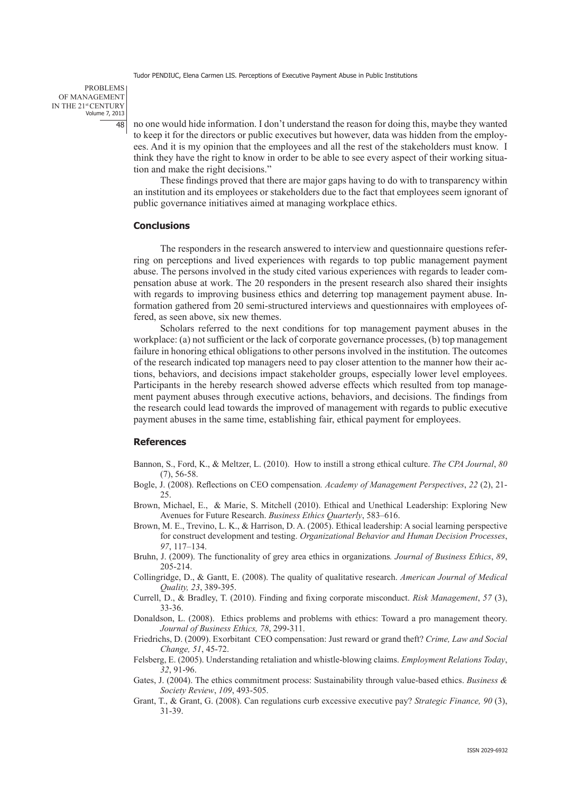problems of Management IN THE 21st CENTURY Volume 7, 2013 48

no one would hide information. I don't understand the reason for doing this, maybe they wanted to keep it for the directors or public executives but however, data was hidden from the employees. And it is my opinion that the employees and all the rest of the stakeholders must know. I think they have the right to know in order to be able to see every aspect of their working situation and make the right decisions."

These findings proved that there are major gaps having to do with to transparency within an institution and its employees or stakeholders due to the fact that employees seem ignorant of public governance initiatives aimed at managing workplace ethics.

## **Conclusions**

The responders in the research answered to interview and questionnaire questions referring on perceptions and lived experiences with regards to top public management payment abuse. The persons involved in the study cited various experiences with regards to leader compensation abuse at work. The 20 responders in the present research also shared their insights with regards to improving business ethics and deterring top management payment abuse. Information gathered from 20 semi-structured interviews and questionnaires with employees offered, as seen above, six new themes.

Scholars referred to the next conditions for top management payment abuses in the workplace: (a) not sufficient or the lack of corporate governance processes, (b) top management failure in honoring ethical obligations to other persons involved in the institution. The outcomes of the research indicated top managers need to pay closer attention to the manner how their actions, behaviors, and decisions impact stakeholder groups, especially lower level employees. Participants in the hereby research showed adverse effects which resulted from top management payment abuses through executive actions, behaviors, and decisions. The findings from the research could lead towards the improved of management with regards to public executive payment abuses in the same time, establishing fair, ethical payment for employees.

## **References**

- Bannon, S., Ford, K., & Meltzer, L. (2010). How to instill a strong ethical culture. *The CPA Journal*, *80* (7), 56-58.
- Bogle, J. (2008). Reflections on CEO compensation*. Academy of Management Perspectives*, *22* (2), 21- 25.
- Brown, Michael, E., & Marie, S. Mitchell (2010). Ethical and Unethical Leadership: Exploring New Avenues for Future Research. *Business Ethics Quarterly*, 583–616.
- Brown, M. E., Trevino, L. K., & Harrison, D. A. (2005). Ethical leadership: A social learning perspective for construct development and testing. *Organizational Behavior and Human Decision Processes*, *97*, 117–134.
- Bruhn, J. (2009). The functionality of grey area ethics in organizations*. Journal of Business Ethics*, *89*, 205-214.
- Collingridge, D., & Gantt, E. (2008). The quality of qualitative research. *American Journal of Medical Quality, 23*, 389-395.
- Currell, D., & Bradley, T. (2010). Finding and fixing corporate misconduct. *Risk Management*, *57* (3), 33-36.
- Donaldson, L. (2008).Ethics problems and problems with ethics: Toward a pro management theory. *Journal of Business Ethics, 78*, 299-311.
- Friedrichs, D. (2009). Exorbitant CEO compensation: Just reward or grand theft? *Crime, Law and Social Change, 51*, 45-72.
- Felsberg, E. (2005). Understanding retaliation and whistle-blowing claims. *Employment Relations Today*, *32*, 91-96.
- Gates, J. (2004). The ethics commitment process: Sustainability through value-based ethics. *Business & Society Review*, *109*, 493-505.
- Grant, T., & Grant, G. (2008). Can regulations curb excessive executive pay? *Strategic Finance, 90* (3), 31-39.